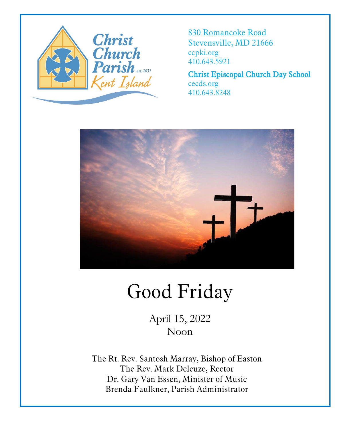

830 Romancoke Road Stevensville, MD 21666 ccpki.org 410.643.5921

Christ Episcopal Church Day School cecds.org 410.643.8248



# Good Friday

April 15, 2022 Noon

The Rt. Rev. Santosh Marray, Bishop of Easton The Rev. Mark Delcuze, Rector Dr. Gary Van Essen, Minister of Music Brenda Faulkner, Parish Administrator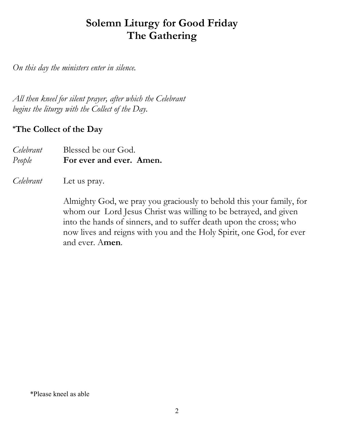# **Solemn Liturgy for Good Friday The Gathering**

*On this day the ministers enter in silence.* 

*All then kneel for silent prayer, after which the Celebrant begins the liturgy with the Collect of the Day.*

#### **\*The Collect of the Day**

| Celebrant | Blessed be our God.      |
|-----------|--------------------------|
| People    | For ever and ever. Amen. |
| Celebrant | Let us pray.             |

 Almighty God, we pray you graciously to behold this your family, for whom our Lord Jesus Christ was willing to be betrayed, and given into the hands of sinners, and to suffer death upon the cross; who now lives and reigns with you and the Holy Spirit, one God, for ever and ever. A**men***.*

\*Please kneel as able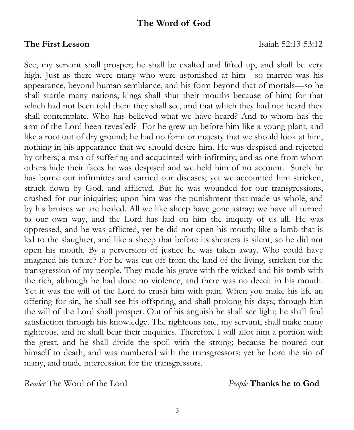#### **The Word of God**

#### **The First Lesson** Isaiah 52:13-53:12

See, my servant shall prosper; he shall be exalted and lifted up, and shall be very high. Just as there were many who were astonished at him—so marred was his appearance, beyond human semblance, and his form beyond that of mortals—so he shall startle many nations; kings shall shut their mouths because of him; for that which had not been told them they shall see, and that which they had not heard they shall contemplate. Who has believed what we have heard? And to whom has the arm of the Lord been revealed? For he grew up before him like a young plant, and like a root out of dry ground; he had no form or majesty that we should look at him, nothing in his appearance that we should desire him. He was despised and rejected by others; a man of suffering and acquainted with infirmity; and as one from whom others hide their faces he was despised and we held him of no account. Surely he has borne our infirmities and carried our diseases; yet we accounted him stricken, struck down by God, and afflicted. But he was wounded for our transgressions, crushed for our iniquities; upon him was the punishment that made us whole, and by his bruises we are healed. All we like sheep have gone astray; we have all turned to our own way, and the Lord has laid on him the iniquity of us all. He was oppressed, and he was afflicted, yet he did not open his mouth; like a lamb that is led to the slaughter, and like a sheep that before its shearers is silent, so he did not open his mouth. By a perversion of justice he was taken away. Who could have imagined his future? For he was cut off from the land of the living, stricken for the transgression of my people. They made his grave with the wicked and his tomb with the rich, although he had done no violence, and there was no deceit in his mouth. Yet it was the will of the Lord to crush him with pain. When you make his life an offering for sin, he shall see his offspring, and shall prolong his days; through him the will of the Lord shall prosper. Out of his anguish he shall see light; he shall find satisfaction through his knowledge. The righteous one, my servant, shall make many righteous, and he shall bear their iniquities. Therefore I will allot him a portion with the great, and he shall divide the spoil with the strong; because he poured out himself to death, and was numbered with the transgressors; yet he bore the sin of many, and made intercession for the transgressors.

*Reader* The Word of the Lord *People* **Thanks be to God**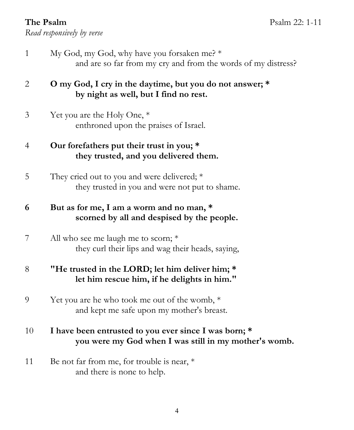## **The Psalm**  Psalm 22: 1-11 *Read responsively by verse*

| $\mathbf{1}$   | My God, my God, why have you forsaken me? *<br>and are so far from my cry and from the words of my distress?   |
|----------------|----------------------------------------------------------------------------------------------------------------|
| $\mathbf{2}$   | O my God, I cry in the daytime, but you do not answer; *<br>by night as well, but I find no rest.              |
| 3              | Yet you are the Holy One, *<br>enthroned upon the praises of Israel.                                           |
| $\overline{4}$ | Our forefathers put their trust in you; *<br>they trusted, and you delivered them.                             |
| 5              | They cried out to you and were delivered; *<br>they trusted in you and were not put to shame.                  |
| 6              | But as for me, I am a worm and no man, *<br>scorned by all and despised by the people.                         |
| 7              | All who see me laugh me to scorn; *<br>they curl their lips and wag their heads, saying,                       |
| 8              | "He trusted in the LORD; let him deliver him; *<br>let him rescue him, if he delights in him."                 |
| 9              | Yet you are he who took me out of the womb, $*$<br>and kept me safe upon my mother's breast.                   |
| 10             | I have been entrusted to you ever since I was born; *<br>you were my God when I was still in my mother's womb. |
| 11             | Be not far from me, for trouble is near, $*$<br>and there is none to help.                                     |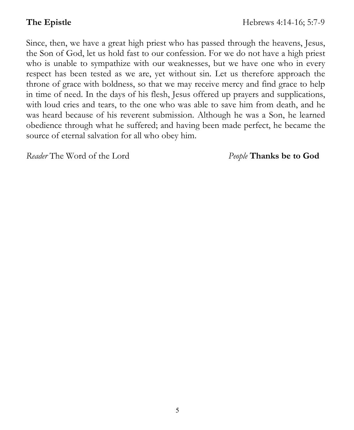Since, then, we have a great high priest who has passed through the heavens, Jesus, the Son of God, let us hold fast to our confession. For we do not have a high priest who is unable to sympathize with our weaknesses, but we have one who in every respect has been tested as we are, yet without sin. Let us therefore approach the throne of grace with boldness, so that we may receive mercy and find grace to help in time of need. In the days of his flesh, Jesus offered up prayers and supplications, with loud cries and tears, to the one who was able to save him from death, and he was heard because of his reverent submission. Although he was a Son, he learned obedience through what he suffered; and having been made perfect, he became the source of eternal salvation for all who obey him.

*Reader* The Word of the Lord *People* **Thanks be to God**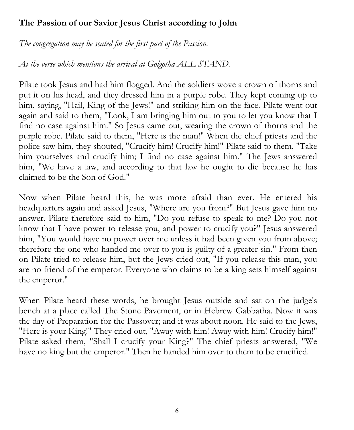## **The Passion of our Savior Jesus Christ according to John**

*The congregation may be seated for the first part of the Passion.* 

*At the verse which mentions the arrival at Golgotha ALL STAND.*

Pilate took Jesus and had him flogged. And the soldiers wove a crown of thorns and put it on his head, and they dressed him in a purple robe. They kept coming up to him, saying, "Hail, King of the Jews!" and striking him on the face. Pilate went out again and said to them, "Look, I am bringing him out to you to let you know that I find no case against him." So Jesus came out, wearing the crown of thorns and the purple robe. Pilate said to them, "Here is the man!" When the chief priests and the police saw him, they shouted, "Crucify him! Crucify him!" Pilate said to them, "Take him yourselves and crucify him; I find no case against him." The Jews answered him, "We have a law, and according to that law he ought to die because he has claimed to be the Son of God."

Now when Pilate heard this, he was more afraid than ever. He entered his headquarters again and asked Jesus, "Where are you from?" But Jesus gave him no answer. Pilate therefore said to him, "Do you refuse to speak to me? Do you not know that I have power to release you, and power to crucify you?" Jesus answered him, "You would have no power over me unless it had been given you from above; therefore the one who handed me over to you is guilty of a greater sin." From then on Pilate tried to release him, but the Jews cried out, "If you release this man, you are no friend of the emperor. Everyone who claims to be a king sets himself against the emperor."

When Pilate heard these words, he brought Jesus outside and sat on the judge's bench at a place called The Stone Pavement, or in Hebrew Gabbatha. Now it was the day of Preparation for the Passover; and it was about noon. He said to the Jews, "Here is your King!" They cried out, "Away with him! Away with him! Crucify him!" Pilate asked them, "Shall I crucify your King?" The chief priests answered, "We have no king but the emperor." Then he handed him over to them to be crucified.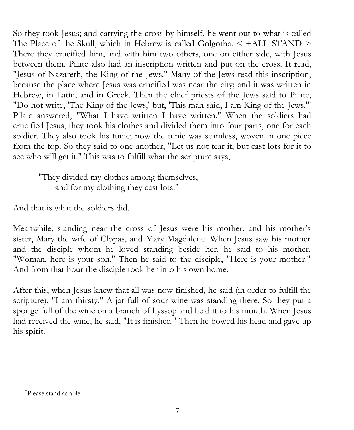So they took Jesus; and carrying the cross by himself, he went out to what is called The Place of the Skull, which in Hebrew is called Golgotha. < +ALL STAND > There they crucified him, and with him two others, one on either side, with Jesus between them. Pilate also had an inscription written and put on the cross. It read, "Jesus of Nazareth, the King of the Jews." Many of the Jews read this inscription, because the place where Jesus was crucified was near the city; and it was written in Hebrew, in Latin, and in Greek. Then the chief priests of the Jews said to Pilate, "Do not write, 'The King of the Jews,' but, 'This man said, I am King of the Jews.'" Pilate answered, "What I have written I have written." When the soldiers had crucified Jesus, they took his clothes and divided them into four parts, one for each soldier. They also took his tunic; now the tunic was seamless, woven in one piece from the top. So they said to one another, "Let us not tear it, but cast lots for it to see who will get it." This was to fulfill what the scripture says,

"They divided my clothes among themselves, and for my clothing they cast lots."

And that is what the soldiers did.

Meanwhile, standing near the cross of Jesus were his mother, and his mother's sister, Mary the wife of Clopas, and Mary Magdalene. When Jesus saw his mother and the disciple whom he loved standing beside her, he said to his mother, "Woman, here is your son." Then he said to the disciple, "Here is your mother." And from that hour the disciple took her into his own home.

After this, when Jesus knew that all was now finished, he said (in order to fulfill the scripture), "I am thirsty." A jar full of sour wine was standing there. So they put a sponge full of the wine on a branch of hyssop and held it to his mouth. When Jesus had received the wine, he said, "It is finished." Then he bowed his head and gave up his spirit.

<sup>+</sup> Please stand as able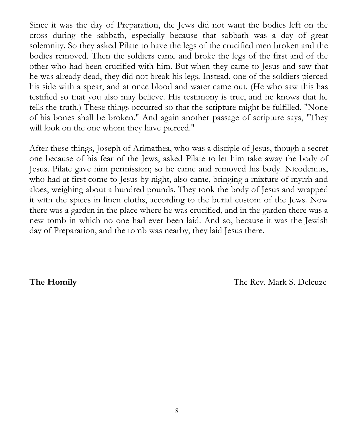Since it was the day of Preparation, the Jews did not want the bodies left on the cross during the sabbath, especially because that sabbath was a day of great solemnity. So they asked Pilate to have the legs of the crucified men broken and the bodies removed. Then the soldiers came and broke the legs of the first and of the other who had been crucified with him. But when they came to Jesus and saw that he was already dead, they did not break his legs. Instead, one of the soldiers pierced his side with a spear, and at once blood and water came out. (He who saw this has testified so that you also may believe. His testimony is true, and he knows that he tells the truth.) These things occurred so that the scripture might be fulfilled, "None of his bones shall be broken." And again another passage of scripture says, "They will look on the one whom they have pierced."

After these things, Joseph of Arimathea, who was a disciple of Jesus, though a secret one because of his fear of the Jews, asked Pilate to let him take away the body of Jesus. Pilate gave him permission; so he came and removed his body. Nicodemus, who had at first come to Jesus by night, also came, bringing a mixture of myrrh and aloes, weighing about a hundred pounds. They took the body of Jesus and wrapped it with the spices in linen cloths, according to the burial custom of the Jews. Now there was a garden in the place where he was crucified, and in the garden there was a new tomb in which no one had ever been laid. And so, because it was the Jewish day of Preparation, and the tomb was nearby, they laid Jesus there.

**The Homily** The Rev. Mark S. Delcuze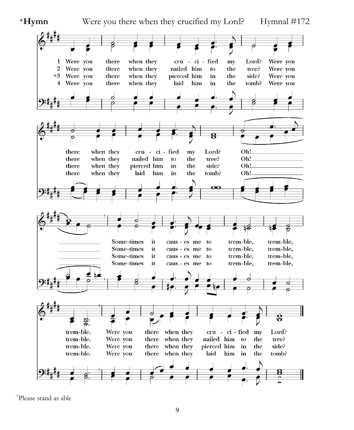

+ Please stand as able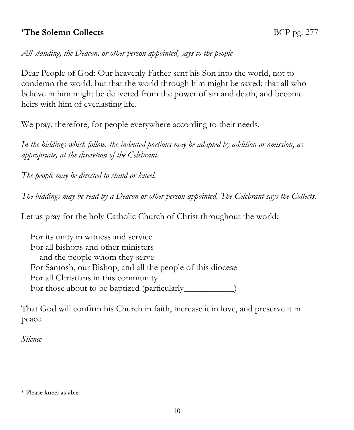## **\*The Solemn Collects** BCP pg. 277

*All standing, the Deacon, or other person appointed, says to the people*

Dear People of God: Our heavenly Father sent his Son into the world, not to condemn the world, but that the world through him might be saved; that all who believe in him might be delivered from the power of sin and death, and become heirs with him of everlasting life.

We pray, therefore, for people everywhere according to their needs.

*In the biddings which follow, the indented portions may be adapted by addition or omission, as appropriate, at the discretion of the Celebrant.* 

*The people may be directed to stand or kneel.*

*The biddings may be read by a Deacon or other person appointed. The Celebrant says the Collects.*

Let us pray for the holy Catholic Church of Christ throughout the world;

 For its unity in witness and service For all bishops and other ministers and the people whom they serve For Santosh, our Bishop, and all the people of this diocese For all Christians in this community For those about to be baptized (particularly

That God will confirm his Church in faith, increase it in love, and preserve it in peace.

*Silence*

<sup>\*</sup> Please kneel as able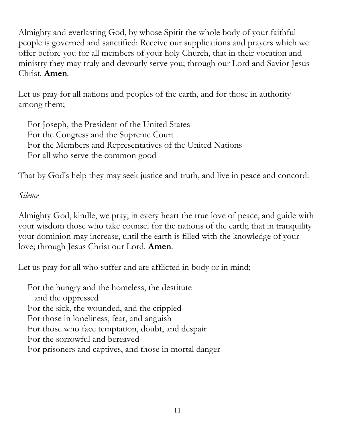Almighty and everlasting God, by whose Spirit the whole body of your faithful people is governed and sanctified: Receive our supplications and prayers which we offer before you for all members of your holy Church, that in their vocation and ministry they may truly and devoutly serve you; through our Lord and Savior Jesus Christ. **Amen***.*

Let us pray for all nations and peoples of the earth, and for those in authority among them;

 For Joseph, the President of the United States For the Congress and the Supreme Court For the Members and Representatives of the United Nations For all who serve the common good

That by God's help they may seek justice and truth, and live in peace and concord.

#### *Silence*

Almighty God, kindle, we pray, in every heart the true love of peace, and guide with your wisdom those who take counsel for the nations of the earth; that in tranquility your dominion may increase, until the earth is filled with the knowledge of your love; through Jesus Christ our Lord. **Amen***.*

Let us pray for all who suffer and are afflicted in body or in mind;

 For the hungry and the homeless, the destitute and the oppressed For the sick, the wounded, and the crippled For those in loneliness, fear, and anguish For those who face temptation, doubt, and despair For the sorrowful and bereaved For prisoners and captives, and those in mortal danger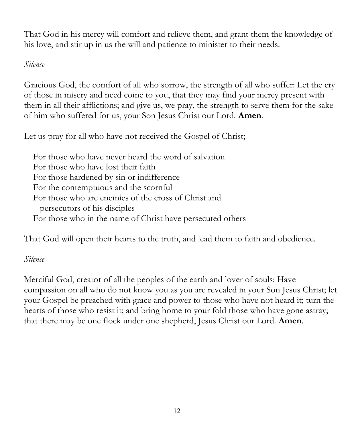That God in his mercy will comfort and relieve them, and grant them the knowledge of his love, and stir up in us the will and patience to minister to their needs.

### *Silence*

Gracious God, the comfort of all who sorrow, the strength of all who suffer: Let the cry of those in misery and need come to you, that they may find your mercy present with them in all their afflictions; and give us, we pray, the strength to serve them for the sake of him who suffered for us, your Son Jesus Christ our Lord. **Amen***.*

Let us pray for all who have not received the Gospel of Christ;

 For those who have never heard the word of salvation For those who have lost their faith For those hardened by sin or indifference For the contemptuous and the scornful For those who are enemies of the cross of Christ and persecutors of his disciples For those who in the name of Christ have persecuted others

That God will open their hearts to the truth, and lead them to faith and obedience.

## *Silence*

Merciful God, creator of all the peoples of the earth and lover of souls: Have compassion on all who do not know you as you are revealed in your Son Jesus Christ; let your Gospel be preached with grace and power to those who have not heard it; turn the hearts of those who resist it; and bring home to your fold those who have gone astray; that there may be one flock under one shepherd, Jesus Christ our Lord. **Amen**.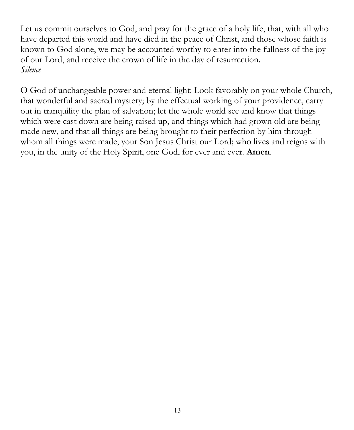Let us commit ourselves to God, and pray for the grace of a holy life, that, with all who have departed this world and have died in the peace of Christ, and those whose faith is known to God alone, we may be accounted worthy to enter into the fullness of the joy of our Lord, and receive the crown of life in the day of resurrection. *Silence*

O God of unchangeable power and eternal light: Look favorably on your whole Church, that wonderful and sacred mystery; by the effectual working of your providence, carry out in tranquility the plan of salvation; let the whole world see and know that things which were cast down are being raised up, and things which had grown old are being made new, and that all things are being brought to their perfection by him through whom all things were made, your Son Jesus Christ our Lord; who lives and reigns with you, in the unity of the Holy Spirit, one God, for ever and ever. **Amen**.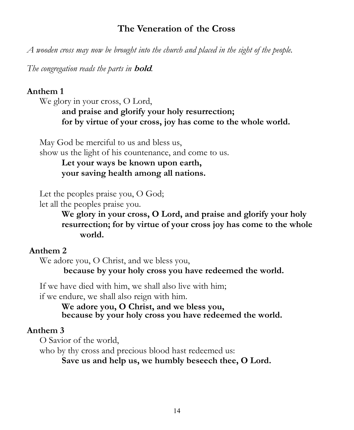## **The Veneration of the Cross**

*A wooden cross may now be brought into the church and placed in the sight of the people.*

*The congregation reads the parts in* **bold***.*

#### **Anthem 1**

We glory in your cross, O Lord,

**and praise and glorify your holy resurrection; for by virtue of your cross, joy has come to the whole world.**

May God be merciful to us and bless us,

show us the light of his countenance, and come to us.

**Let your ways be known upon earth, your saving health among all nations.**

Let the peoples praise you, O God;

let all the peoples praise you.

**We glory in your cross, O Lord, and praise and glorify your holy resurrection; for by virtue of your cross joy has come to the whole world.**

#### **Anthem 2**

We adore you, O Christ, and we bless you,

**because by your holy cross you have redeemed the world.**

If we have died with him, we shall also live with him; if we endure, we shall also reign with him.

> **We adore you, O Christ, and we bless you, because by your holy cross you have redeemed the world.**

#### **Anthem 3**

O Savior of the world,

who by thy cross and precious blood hast redeemed us:

**Save us and help us, we humbly beseech thee, O Lord.**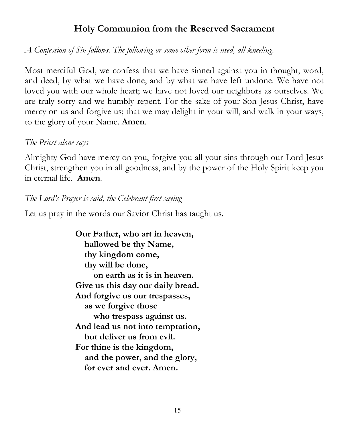## **Holy Communion from the Reserved Sacrament**

*A Confession of Sin follows. The following or some other form is used, all kneeling.* 

Most merciful God, we confess that we have sinned against you in thought, word, and deed, by what we have done, and by what we have left undone. We have not loved you with our whole heart; we have not loved our neighbors as ourselves. We are truly sorry and we humbly repent. For the sake of your Son Jesus Christ, have mercy on us and forgive us; that we may delight in your will, and walk in your ways, to the glory of your Name. **Amen**.

#### *The Priest alone says*

Almighty God have mercy on you, forgive you all your sins through our Lord Jesus Christ, strengthen you in all goodness, and by the power of the Holy Spirit keep you in eternal life. **Amen***.*

*The Lord's Prayer is said, the Celebrant first saying*

Let us pray in the words our Savior Christ has taught us.

**Our Father, who art in heaven, hallowed be thy Name, thy kingdom come, thy will be done, on earth as it is in heaven. Give us this day our daily bread. And forgive us our trespasses, as we forgive those who trespass against us. And lead us not into temptation, but deliver us from evil. For thine is the kingdom, and the power, and the glory, for ever and ever. Amen.**